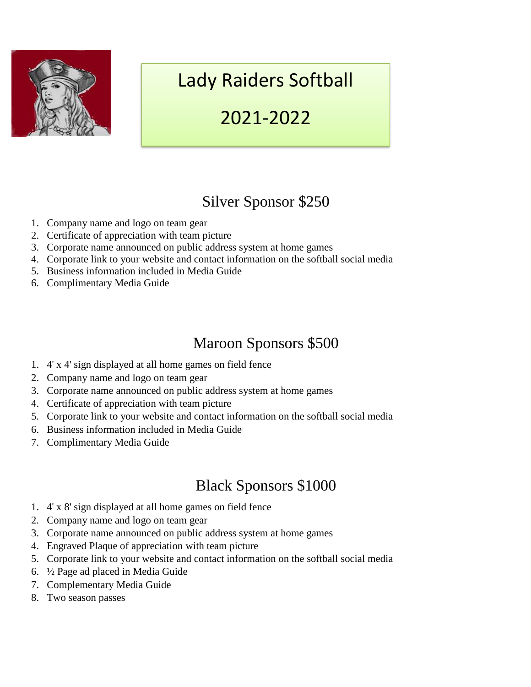

# Lady Raiders Softball

## 2021-2022

### Silver Sponsor \$250

- 1. Company name and logo on team gear
- 2. Certificate of appreciation with team picture
- 3. Corporate name announced on public address system at home games
- 4. Corporate link to your website and contact information on the softball social media
- 5. Business information included in Media Guide
- 6. Complimentary Media Guide

### Maroon Sponsors \$500

- 1. 4' x 4' sign displayed at all home games on field fence
- 2. Company name and logo on team gear
- 3. Corporate name announced on public address system at home games
- 4. Certificate of appreciation with team picture
- 5. Corporate link to your website and contact information on the softball social media
- 6. Business information included in Media Guide
- 7. Complimentary Media Guide

### Black Sponsors \$1000

- 1. 4' x 8' sign displayed at all home games on field fence
- 2. Company name and logo on team gear
- 3. Corporate name announced on public address system at home games
- 4. Engraved Plaque of appreciation with team picture
- 5. Corporate link to your website and contact information on the softball social media
- 6. ½ Page ad placed in Media Guide
- 7. Complementary Media Guide
- 8. Two season passes